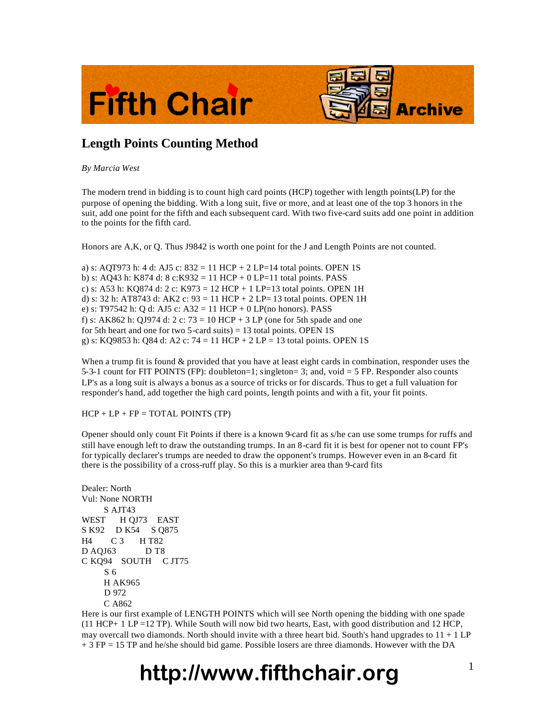



### **Length Points Counting Method**

*By Marcia West*

The modern trend in bidding is to count high card points (HCP) together with length points(LP) for the purpose of opening the bidding. With a long suit, five or more, and at least one of the top 3 honors in the suit, add one point for the fifth and each subsequent card. With two five-card suits add one point in addition to the points for the fifth card.

Honors are A,K, or Q. Thus J9842 is worth one point for the J and Length Points are not counted.

a) s: AQT973 h: 4 d: AJ5 c:  $832 = 11$  HCP + 2 LP=14 total points. OPEN 1S b) s: AQ43 h: K874 d: 8 c: K932 = 11 HCP + 0 LP=11 total points. PASS c) s: A53 h: KQ874 d: 2 c: K973 = 12 HCP + 1 LP=13 total points. OPEN 1H d) s: 32 h: AT8743 d: AK2 c:  $93 = 11$  HCP + 2 LP= 13 total points. OPEN 1H e) s: T97542 h: Q d: AJ5 c: A32 = 11 HCP + 0 LP(no honors). PASS f) s: AK862 h: QJ974 d: 2 c:  $73 = 10$  HCP + 3 LP (one for 5th spade and one for 5th heart and one for two 5-card suits) = 13 total points. OPEN 1S g) s: KQ9853 h: Q84 d: A2 c:  $74 = 11$  HCP + 2 LP = 13 total points. OPEN 1S

When a trump fit is found  $&$  provided that you have at least eight cards in combination, responder uses the 5-3-1 count for FIT POINTS (FP): doubleton=1; singleton= 3; and, void = 5 FP. Responder also counts LP's as a long suit is always a bonus as a source of tricks or for discards. Thus to get a full valuation for responder's hand, add together the high card points, length points and with a fit, your fit points.

 $HCP + LP + FP = TOTAL POINTS (TP)$ 

Opener should only count Fit Points if there is a known 9-card fit as s/he can use some trumps for ruffs and still have enough left to draw the outstanding trumps. In an 8-card fit it is best for opener not to count FP's for typically declarer's trumps are needed to draw the opponent's trumps. However even in an 8-card fit there is the possibility of a cross-ruff play. So this is a murkier area than 9-card fits

Dealer: North Vul: None NORTH S AJT43 WEST H OJ73 EAST S K92 D K54 S Q875 H4 C 3 H T82 D AQJ63 D T8 C KQ94 SOUTH C JT75 S 6 H AK965 D 972 C A862

Here is our first example of LENGTH POINTS which will see North opening the bidding with one spade (11 HCP+ 1 LP =12 TP). While South will now bid two hearts, East, with good distribution and 12 HCP, may overcall two diamonds. North should invite with a three heart bid. South's hand upgrades to  $11 + 1 \text{ LP}$ + 3 FP = 15 TP and he/she should bid game. Possible losers are three diamonds. However with the DA

# **http://www.fifthchair.org** <sup>1</sup>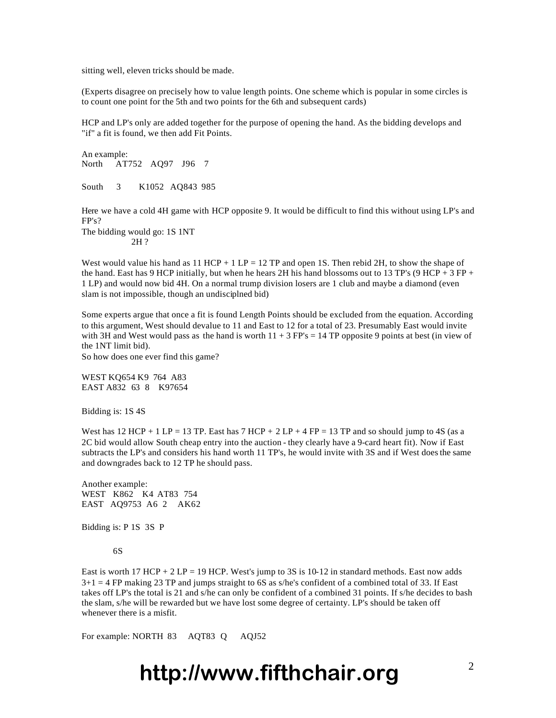sitting well, eleven tricks should be made.

(Experts disagree on precisely how to value length points. One scheme which is popular in some circles is to count one point for the 5th and two points for the 6th and subsequent cards)

HCP and LP's only are added together for the purpose of opening the hand. As the bidding develops and "if" a fit is found, we then add Fit Points.

An example: North AT752 AQ97 J96 7 South 3 K1052 AQ843 985

Here we have a cold 4H game with HCP opposite 9. It would be difficult to find this without using LP's and FP's?

The bidding would go: 1S 1NT 2H ?

West would value his hand as  $11$  HCP + 1 LP = 12 TP and open 1S. Then rebid 2H, to show the shape of the hand. East has 9 HCP initially, but when he hears 2H his hand blossoms out to 13 TP's (9 HCP + 3 FP + 1 LP) and would now bid 4H. On a normal trump division losers are 1 club and maybe a diamond (even slam is not impossible, though an undisciplned bid)

Some experts argue that once a fit is found Length Points should be excluded from the equation. According to this argument, West should devalue to 11 and East to 12 for a total of 23. Presumably East would invite with 3H and West would pass as the hand is worth  $11 + 3$  FP's = 14 TP opposite 9 points at best (in view of the 1NT limit bid).

So how does one ever find this game?

WEST KQ654 K9 764 A83 EAST A832 63 8 K97654

Bidding is: 1S 4S

West has  $12$  HCP + 1 LP = 13 TP. East has  $7$  HCP +  $2$  LP + 4 FP = 13 TP and so should jump to 4S (as a 2C bid would allow South cheap entry into the auction - they clearly have a 9-card heart fit). Now if East subtracts the LP's and considers his hand worth 11 TP's, he would invite with 3S and if West does the same and downgrades back to 12 TP he should pass.

Another example: WEST K862 K4 AT83 754 EAST AQ9753 A6 2 AK62

Bidding is: P 1S 3S P

#### 6S

East is worth 17 HCP + 2 LP = 19 HCP. West's jump to 3S is 10-12 in standard methods. East now adds 3+1 = 4 FP making 23 TP and jumps straight to 6S as s/he's confident of a combined total of 33. If East takes off LP's the total is 21 and s/he can only be confident of a combined 31 points. If s/he decides to bash the slam, s/he will be rewarded but we have lost some degree of certainty. LP's should be taken off whenever there is a misfit.

For example: NORTH 83 AQT83 Q AQJ52

# http://www.fifthchair.org